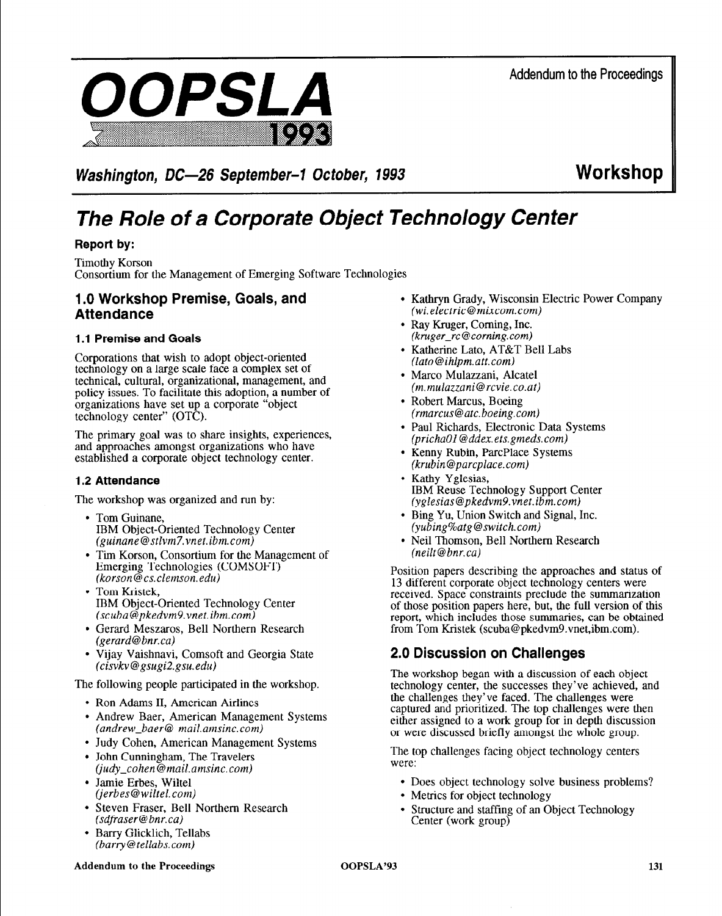

Washington, DC-26 September-1 October, 1993 **WORKSHOP** 

# *The Role of a Corporate Object Technology Center*

# **Report by:**

Timothy Korson Consortium for the Management of Emerging Software Technologies

# **1.0 Workshop Premise, Goals, and Attendance**

## **1 .I Premise and Goals**

Corporations that wish to adopt object-oriented technology on a large scale face a complex set of technical, cultural, organizational, management, and policy issues. To facilitate this adoption, a number of organizations have set up a corporate "object technology center" (OTC).

The primary goal was to share insights, experiences, and approaches amongst organizations who have established a corporate object technology center.

## **1.2 Attendance**

The workshop was organized and run by:

- Tom Guinane, IBM Object-Oriented Technology Center *(guinane@stlvm7.vnet.ibm.com)*
- Tim Korson, Consortium for the Management of Emerging Technologies (COMSOFT) *(korson@cs.clemson.edu)*
- Tom Kristek. IBM Object-Oriented Technology Center *(scuba@pkedvm9.vnet.ibm.com)*
- Gerard Meszaros, Bell Northern Research *(gerard@bnr.ca)*
- Vijay Vaishnavi, Comsoft and Georgia State *(cisvkv@gsugi2.gsu.edu)*

The following people participated in the workshop.

- Ron Adams II, American Airlines
- Andrew Baer, American Management Systems *(andrew-baer@ mail.amsinc.com)*
- Judy Cohen, American Management Systems
- John Cunningham, The Travelers *(judy-cohen@mail.amsinc.com)*
- Jamie Erbes, Wiltel *(jerbes@wiltel.com)*
- Steven Fraser, Bell Northern Research *(sdfraser@bnr.ca)*
- Barry Glicklich, Tellabs *(barry@tellabs. corn)*
- Kathryn Grady, Wisconsin Electric Power Company *(wi.electric@mixcom.com)*
- Ray Kruger, Corning, Inc. *(kruger-rc @Corning. corn)*
- Katherine Lato, AT&T Bell Labs *(lato@ihlpm.att.com)*
- Marco Mulazzani, Alcatel *(m.mulazzani@rcvie.co.at)*
- Robert Marcus, Boeing *(rmarcus@atc.boeing.com)*
- Paul Richards, Electronic Data Systems *(prichaol @ddex.ets.gmeds.com)*
- Kenny Rubin, ParcPlace Systems *(krubin@parcplace.com)*
- Kathy Yglesias, IBM Reuse Technology Support Center *(yglesias@pkedvm9.vnet.ibm.com)*
- Bing Yu, Union Switch and Signal, Inc. *(yubing%atg @switch. corn)*
- Neil Thomson, Bell Northern Research *(neilt@bnr.cal*

Position papers describing the approaches and status of 13 different corporate object technology centers were received. Space constraints preclude the summarization of those position papers here, but, the full version of this report, which includes those summaries, can be obtained from Tom Kristek (scuba@pkedvm9.vnet,ibm.com).

# **2.0 Discussion on Challenges**

The workshop began with a discussion of each object technology center, the successes they've achieved, and the challenges they've faced. The challenges were captured and prioritized. The top challenges were then either assigned to a work group for in depth discussion or were discussed briefly amongst the whole group.

The top challenges facing object technology centers were:

- Does object technology solve business problems?
- Metrics for object technology
- Structure and staffing of an Object Technology Center (work group)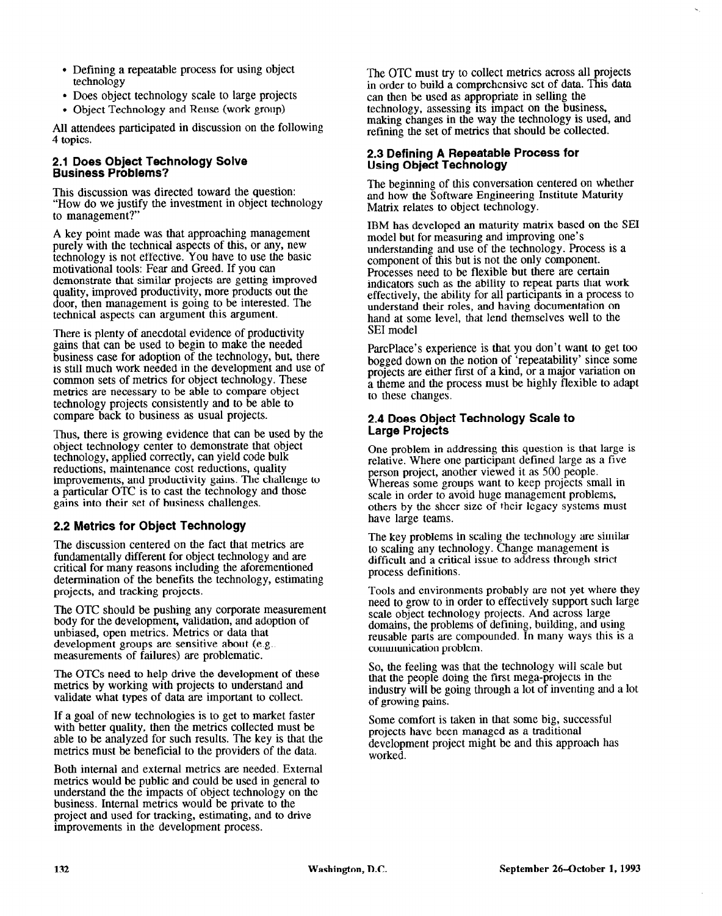- Defining a repeatable process for using object technology
- Does object technology scale to large projects
- Object Technology and Reuse (work group)

All attendees participated in discussion on the following 4 topics.

#### **2.1 Does Object Technology Solve Business Problems?**

This discussion was directed toward the question: "How do we justify the investment in object technology to management?"

A key point made was that approaching management purely with the technical aspects of this, or any, new technology is not effective. You have to use the basic motivational tools: Fear and Greed. If you can demonstrate that similar projects are getting improved quality, improved productivity, more products out the door, then management is going to be interested. The technical aspects can argument this argument.

There is plenty of anecdotal evidence of productivity gains that can be used to begin to make the needed business case for adoption of the technology, but, there is still much work needed in the development and use of common sets of metrics for object technology. These metrics are necessary to be able to compare object technology projects consistently and to be able to compare back to business as usual projects.

Thus, there is growing evidence that can be used by the object technology center to demonstrate that object technology, applied correctly, can yield code bulk reductions, maintenance cost reductions, quality improvements, and productivity gains. The challenge to a particular OTC is to cast the technology and those gains into their set of business challenges.

## **2.2 Metrics for Object Technology**

The discussion centered on the fact that metrics are fundamentally different for object technology and are critical for many reasons including the aforementioned determination of the benefits the technology, estimating projects, and tracking projects.

The OTC should be pushing any corporate measurement body for the development, validation, and adoption of unbiased, open metrics. Metrics or data that development groups are sensitive about (e.g.. measurements of failures) are problematic.

The OTCs need to help drive the development of these metrics by working with projects to understand and validate what types of data are important to collect.

If a goal of new technologies is to get to market faster with better quality, then the metrics collected must be able to be analyzed for such results. The key is that the metrics must be beneficial to the providers of the data.

Both internal and external metrics are needed. External metrics would be public and could be used in general to understand the the impacts of object technology on the business. Internal metrics would be private to the project and used for tracking, estimating, and to drive improvements in the development process.

The OTC must try to collect metrics across all projects in order to build a comprehensive set of data. This data can then be used as appropriate in selling the technology, assessing its impact on the business, making changes in the way the technology is used, and refining the set of metrics that should be collected.

#### **2.3 Defining A Repeatable Process for Using Object Technology**

The beginning of this conversation centered on whether and how the Software Engineering Institute Maturity Matrix relates to object technology.

IBM has developed an maturity matrix based on the SE1 model but for measuring and improving one's understanding and use of the technology. Process is a component of this but is not the only component. Processes need to be flexible but there are certain indicators such as the ability to repeat parts that work effectively, the ability for all participants in a process to understand their roles, and having documentation on hand at some level, that lend themselves well to the SE1 model

ParcPlace's experience is that you don't want to get too bogged down on the notion of 'repeatability' since some projects are either first of a kind, or a major variation on a theme and the process must be highly flexible to adapt to these changes.

#### **2.4 Does Object Technology Scale to Large Projects**

One problem in addressing this question is that large is relative. Where one participant defined large as a five person project, another viewed it as 500 people. Whereas some groups want to keep projects small in scale in order to avoid huge management problems, others by the sheer size of their legacy systems must have large teams.

The key problems in scaling the technology are similar to scaling any technology. Change management is difficult and a critical issue to address through strict process definitions.

Tools and environments probably are not yet where they need to grow to in order to effectively support such large scale object technology projects. And across large domains, the problems of defining, building, and using reusable parts are compounded. In many ways this is a communication problem.

So, the feeling was that the technology will scale but that the people doing the first mega-projects in the industry will be going through a lot of inventing and a lot of growing pains.

Some comfort is taken in that some big, successful projects have been managed as a traditional development project might be and this approach has worked.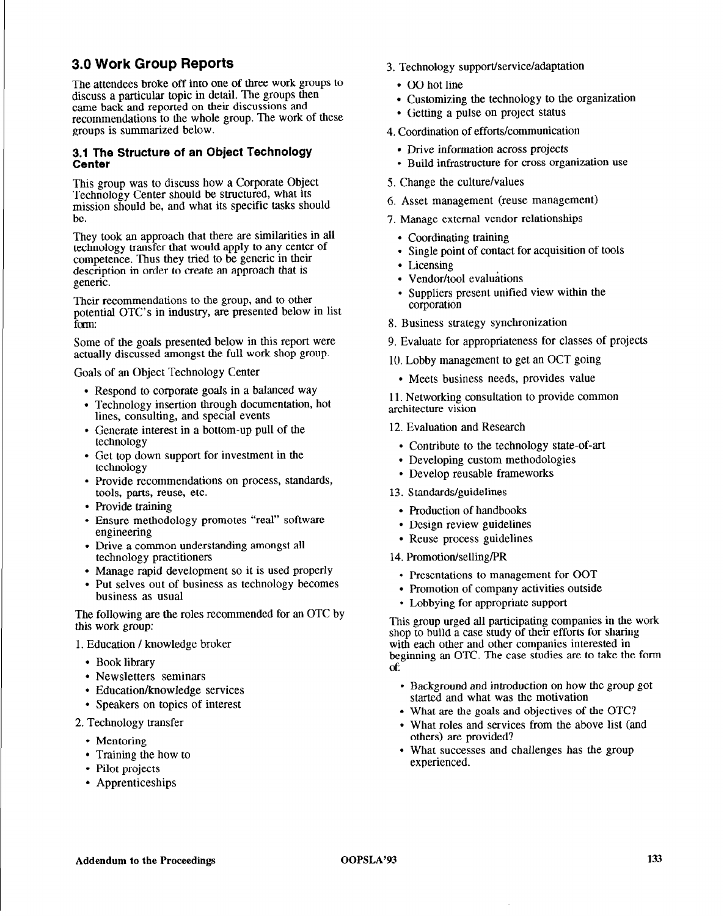# **3.0 Work Group Reports**

The attendees broke off into one of three work groups to discuss a particular topic in detail. The groups then came back and reported on their discussions and recommendations to the whole group. The work of these groups is summarized below.

# **3.1 The Structure of an Object Technology**<br>Center

This group was to discuss how a Corporate Object Technology Center should be structured, what its mission should be, and what its specific tasks should be.

They took an approach that there are similarities in all technology transfer that would apply to any center of competence. Thus they tried to be generic in their description in order to create an approach that is generic,

Their recommendations to the group, and to other potential OTC's in industry, are presented below in list form:

Some of the goals presented below in this report were actually discussed amongst the full work shop group.

Goals of an Object Technology Center

- . Respond to corporate goats in a balanced way
- . Technology insertion through documentation, hot lines, consulting, and special events
- . Generate interest in a bottom-up pull of the technology
- . Get top down support for investment in the technology
- . Provide recommendations on process, standards, tools, parts, reuse, etc.
- . Provide training
- . Ensure methodology promotes "real" software engineering
- . Drive a common understanding amongst all technology practitioners
- . Manage rapid development so it is used properly
- . Put selves out of business as technology becomes business as usual

The following are the roles recommended for an OTC by this work group:

#### 1. Education / knowledge broker

- Book library
- Newsletters seminars
- Education/knowledge services
- Speakers on topics of interest
- 2. Technology transfer
	- Mentoring
	- Training the how to
	- Pilot projects
	- Apprenticeships
- 3. Technology support/service/adaptation
	- OO hot line
	- Customizing the technology to the organization
	- Getting a pulse on project status
- 4. Coordination of efforts/communication
	- Drive information across projects
	- Build infrastructure for cross organization use
- 5. Change the culture/values
- 6. Asset management (reuse management)
- 7. Manage external vendor relationships
	- Coordinating training
	- Single point of contact for acquisition of tools
	- Licensing
	- Vendor/tool evaluations
	- Suppliers present unified view within the corporation
- 8. Business strategy synchronization
- 9. Evaluate for appropriateness for classes of projects
- 10. Lobby management to get an OCT going
	- Meets business needs, provides value

11. Networking consultation to provide common architecture vision

- 12. Evaluation and Research
	- . Contribute to the technology state-of-art
	- . Developing custom methodologies
	- . Develop reusable frameworks
- 13. Standards/guidelines
	- . Production of handbooks
	- . Design review guidelines
	- . Reuse process guidelines
- 14. Promotion/selling/PR
	- Presentations to management for OOT
	- Promotion of company activities outside
	- Lobbying for appropriate support

This group urged all participating companies in the work shop to build a case study of their efforts for sharing with each other and other companies interested in beginning an OTC. The case studies are to take the form **Of:** 

- Background and introduction on how the group got started and what was the motivation
- What are the goals and objectives of the OTC?
- What roles and services from the above list (and others) are provided?
- What successes and challenges has the group experienced.